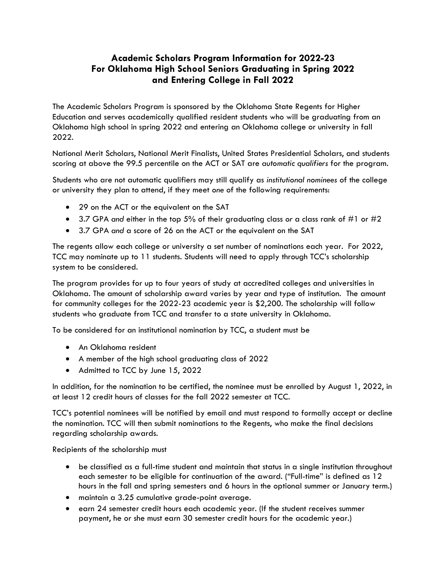## **Academic Scholars Program Information for 2022-23 For Oklahoma High School Seniors Graduating in Spring 2022 and Entering College in Fall 2022**

The Academic Scholars Program is sponsored by the Oklahoma State Regents for Higher Education and serves academically qualified resident students who will be graduating from an Oklahoma high school in spring 2022 and entering an Oklahoma college or university in fall 2022.

National Merit Scholars, National Merit Finalists, United States Presidential Scholars, and students scoring at above the 99.5 percentile on the ACT or SAT are *automatic qualifiers* for the program.

Students who are not automatic qualifiers may still qualify as *institutional nominees* of the college or university they plan to attend, if they meet *one* of the following requirements:

- 29 on the ACT or the equivalent on the SAT
- 3.7 GPA *and* either in the top 5% of their graduating class *or* a class rank of #1 or #2
- 3.7 GPA *and* a score of 26 on the ACT or the equivalent on the SAT

The regents allow each college or university a set number of nominations each year. For 2022, TCC may nominate up to 11 students. Students will need to apply through TCC's scholarship system to be considered.

The program provides for up to four years of study at accredited colleges and universities in Oklahoma. The amount of scholarship award varies by year and type of institution. The amount for community colleges for the 2022-23 academic year is \$2,200. The scholarship will follow students who graduate from TCC and transfer to a state university in Oklahoma.

To be considered for an institutional nomination by TCC, a student must be

- An Oklahoma resident
- A member of the high school graduating class of 2022
- Admitted to TCC by June 15, 2022

In addition, for the nomination to be certified, the nominee must be enrolled by August 1, 2022, in at least 12 credit hours of classes for the fall 2022 semester at TCC.

TCC's potential nominees will be notified by email and must respond to formally accept or decline the nomination. TCC will then submit nominations to the Regents, who make the final decisions regarding scholarship awards.

Recipients of the scholarship must

- be classified as a full-time student and maintain that status in a single institution throughout each semester to be eligible for continuation of the award. ("Full-time" is defined as 12 hours in the fall and spring semesters and 6 hours in the optional summer or January term.)
- maintain a 3.25 cumulative grade-point average.
- earn 24 semester credit hours each academic year. (If the student receives summer payment, he or she must earn 30 semester credit hours for the academic year.)